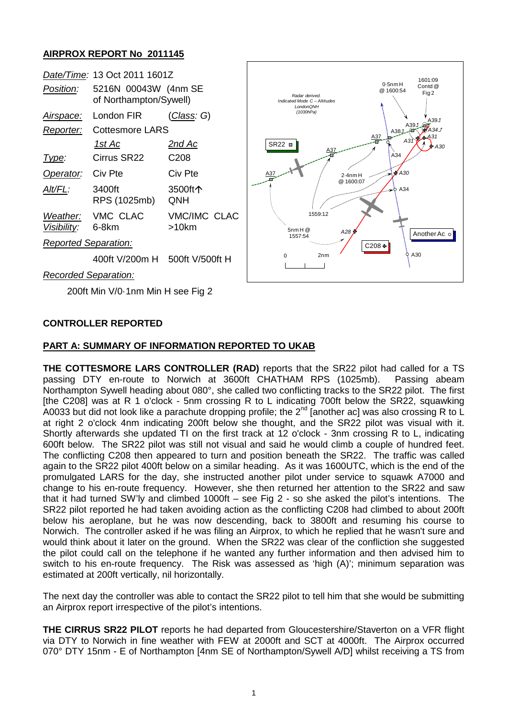## **AIRPROX REPORT No 2011145**

| Date/Time: 13 Oct 2011 1601Z      |                                                |                                 | 1601:09                                                                                                                                                                     |
|-----------------------------------|------------------------------------------------|---------------------------------|-----------------------------------------------------------------------------------------------------------------------------------------------------------------------------|
| Position:                         | 5216N 00043W (4nm SE<br>of Northampton/Sywell) |                                 | $0.5$ nm $H$<br>Contd @<br>@ 1600:54<br>Fig <sub>2</sub><br>Radar derived.<br>Indicated Mode C - Altitudes<br>LondonQNH                                                     |
| <u>Airspace:</u>                  | London FIR                                     | <u>(Class</u> : G)              | (1030hPa)<br>A391                                                                                                                                                           |
| Reporter:                         | <b>Cottesmore LARS</b>                         |                                 | A391.02<br>A34 J<br>A381<br>A31                                                                                                                                             |
|                                   | <u> 1st Ac</u>                                 | <u>2nd Ac</u>                   | A37<br>A3<br>$SR22 =$<br>A30<br>A34<br>$\sqrt{430}$<br>÷<br>A3.<br>$2.4$ nm $H$<br>@ 1600:07<br>$\rightarrow$ $\circ$ A34<br>1559:12<br>$5$ nm H $@$<br>A28<br>Another Ac o |
| Type:                             | Cirrus SR22                                    | C <sub>208</sub>                |                                                                                                                                                                             |
| Operator:                         | Civ Pte                                        | Civ Pte                         |                                                                                                                                                                             |
| Alt/FL:                           | 3400ft<br>RPS (1025mb)                         | 3500ft个<br>QNH                  |                                                                                                                                                                             |
| Weather:<br>Visibility:           | VMC CLAC<br>6-8km                              | <b>VMC/IMC CLAC</b><br>$>10$ km |                                                                                                                                                                             |
| <b>Reported Separation:</b>       |                                                |                                 | 1557:54<br>C208 +                                                                                                                                                           |
|                                   | 400ft V/200m H                                 | 500ft V/500ft H                 | A30<br>2 <sub>nm</sub><br>$\Omega$                                                                                                                                          |
| <b>Recorded Separation:</b>       |                                                |                                 |                                                                                                                                                                             |
| 200ft Min V/0-1nm Min H see Fig 2 |                                                |                                 |                                                                                                                                                                             |

## **CONTROLLER REPORTED**

## **PART A: SUMMARY OF INFORMATION REPORTED TO UKAB**

**THE COTTESMORE LARS CONTROLLER (RAD)** reports that the SR22 pilot had called for a TS passing DTY en-route to Norwich at 3600ft CHATHAM RPS (1025mb). Passing abeam passing DTY en-route to Norwich at 3600ft CHATHAM RPS (1025mb). Northampton Sywell heading about 080°, she called two conflicting tracks to the SR22 pilot. The first [the C208] was at R 1 o'clock - 5nm crossing R to L indicating 700ft below the SR22, squawking A0033 but did not look like a parachute dropping profile; the 2nd [another ac] was also crossing R to L at right 2 o'clock 4nm indicating 200ft below she thought, and the SR22 pilot was visual with it. Shortly afterwards she updated TI on the first track at 12 o'clock - 3nm crossing R to L, indicating 600ft below. The SR22 pilot was still not visual and said he would climb a couple of hundred feet. The conflicting C208 then appeared to turn and position beneath the SR22. The traffic was called again to the SR22 pilot 400ft below on a similar heading. As it was 1600UTC, which is the end of the promulgated LARS for the day, she instructed another pilot under service to squawk A7000 and change to his en-route frequency. However, she then returned her attention to the SR22 and saw that it had turned SW'ly and climbed 1000ft – see Fig 2 - so she asked the pilot's intentions. The SR22 pilot reported he had taken avoiding action as the conflicting C208 had climbed to about 200ft below his aeroplane, but he was now descending, back to 3800ft and resuming his course to Norwich. The controller asked if he was filing an Airprox, to which he replied that he wasn't sure and would think about it later on the ground. When the SR22 was clear of the confliction she suggested the pilot could call on the telephone if he wanted any further information and then advised him to switch to his en-route frequency. The Risk was assessed as 'high (A)'; minimum separation was estimated at 200ft vertically, nil horizontally.

The next day the controller was able to contact the SR22 pilot to tell him that she would be submitting an Airprox report irrespective of the pilot's intentions.

**THE CIRRUS SR22 PILOT** reports he had departed from Gloucestershire/Staverton on a VFR flight via DTY to Norwich in fine weather with FEW at 2000ft and SCT at 4000ft. The Airprox occurred 070° DTY 15nm - E of Northampton [4nm SE of Northampton/Sywell A/D] whilst receiving a TS from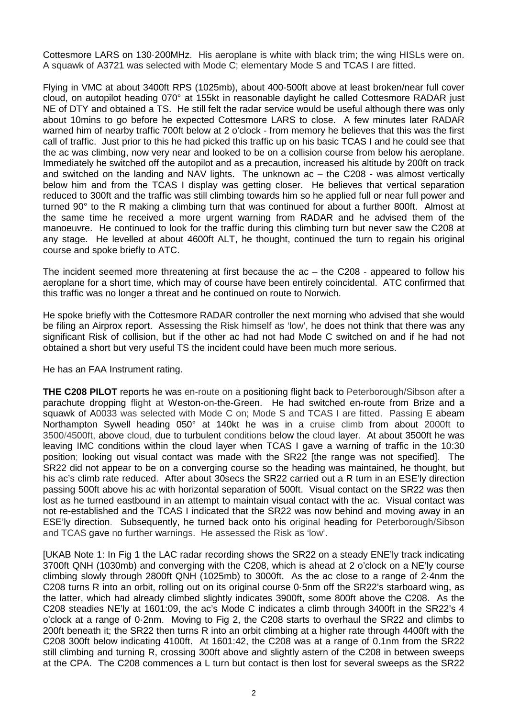Cottesmore LARS on 130·200MHz. His aeroplane is white with black trim; the wing HISLs were on. A squawk of A3721 was selected with Mode C; elementary Mode S and TCAS I are fitted.

Flying in VMC at about 3400ft RPS (1025mb), about 400-500ft above at least broken/near full cover cloud, on autopilot heading 070° at 155kt in reasonable daylight he called Cottesmore RADAR just NE of DTY and obtained a TS. He still felt the radar service would be useful although there was only about 10mins to go before he expected Cottesmore LARS to close. A few minutes later RADAR warned him of nearby traffic 700ft below at 2 o'clock - from memory he believes that this was the first call of traffic. Just prior to this he had picked this traffic up on his basic TCAS I and he could see that the ac was climbing, now very near and looked to be on a collision course from below his aeroplane. Immediately he switched off the autopilot and as a precaution, increased his altitude by 200ft on track and switched on the landing and NAV lights. The unknown ac – the C208 - was almost vertically below him and from the TCAS I display was getting closer. He believes that vertical separation reduced to 300ft and the traffic was still climbing towards him so he applied full or near full power and turned 90° to the R making a climbing turn that was continued for about a further 800ft. Almost at the same time he received a more urgent warning from RADAR and he advised them of the manoeuvre. He continued to look for the traffic during this climbing turn but never saw the C208 at any stage. He levelled at about 4600ft ALT, he thought, continued the turn to regain his original course and spoke briefly to ATC.

The incident seemed more threatening at first because the ac – the C208 - appeared to follow his aeroplane for a short time, which may of course have been entirely coincidental. ATC confirmed that this traffic was no longer a threat and he continued on route to Norwich.

He spoke briefly with the Cottesmore RADAR controller the next morning who advised that she would be filing an Airprox report. Assessing the Risk himself as 'low', he does not think that there was any significant Risk of collision, but if the other ac had not had Mode C switched on and if he had not obtained a short but very useful TS the incident could have been much more serious.

He has an FAA Instrument rating.

**THE C208 PILOT** reports he was en-route on a positioning flight back to Peterborough/Sibson after a parachute dropping flight at Weston-on-the-Green. He had switched en-route from Brize and a squawk of A0033 was selected with Mode C on; Mode S and TCAS I are fitted. Passing E abeam Northampton Sywell heading 050° at 140kt he was in a cruise climb from about 2000ft to 3500/4500ft, above cloud, due to turbulent conditions below the cloud layer. At about 3500ft he was leaving IMC conditions within the cloud layer when TCAS I gave a warning of traffic in the 10:30 position; looking out visual contact was made with the SR22 [the range was not specified]. The SR22 did not appear to be on a converging course so the heading was maintained, he thought, but his ac's climb rate reduced. After about 30 secs the SR22 carried out a R turn in an ESE'ly direction passing 500ft above his ac with horizontal separation of 500ft. Visual contact on the SR22 was then lost as he turned eastbound in an attempt to maintain visual contact with the ac. Visual contact was not re-established and the TCAS I indicated that the SR22 was now behind and moving away in an ESE'ly direction. Subsequently, he turned back onto his original heading for Peterborough/Sibson and TCAS gave no further warnings. He assessed the Risk as 'low'.

[UKAB Note 1: In Fig 1 the LAC radar recording shows the SR22 on a steady ENE'ly track indicating 3700ft QNH (1030mb) and converging with the C208, which is ahead at 2 o'clock on a NE'ly course climbing slowly through 2800ft QNH (1025mb) to 3000ft. As the ac close to a range of 2·4nm the C208 turns R into an orbit, rolling out on its original course 0·5nm off the SR22's starboard wing, as the latter, which had already climbed slightly indicates 3900ft, some 800ft above the C208. As the C208 steadies NE'ly at 1601:09, the ac's Mode C indicates a climb through 3400ft in the SR22's 4 o'clock at a range of 0·2nm. Moving to Fig 2, the C208 starts to overhaul the SR22 and climbs to 200ft beneath it; the SR22 then turns R into an orbit climbing at a higher rate through 4400ft with the C208 300ft below indicating 4100ft. At 1601:42, the C208 was at a range of 0.1nm from the SR22 still climbing and turning R, crossing 300ft above and slightly astern of the C208 in between sweeps at the CPA. The C208 commences a L turn but contact is then lost for several sweeps as the SR22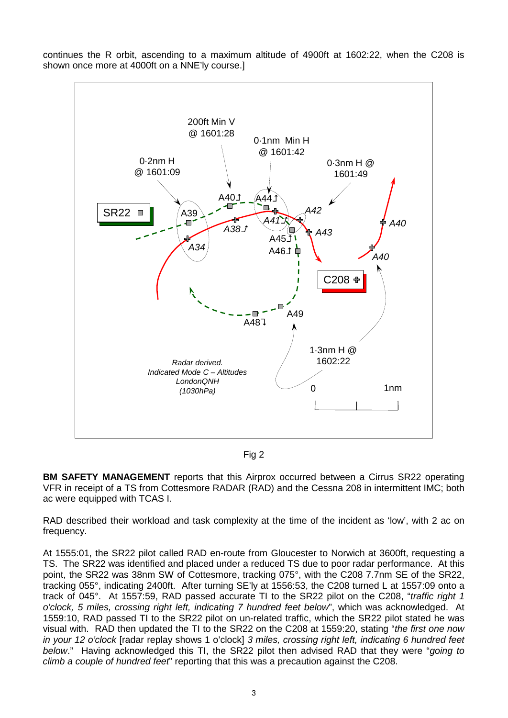continues the R orbit, ascending to a maximum altitude of 4900ft at 1602:22, when the C208 is shown once more at 4000ft on a NNE'ly course.]



Fig 2

**BM SAFETY MANAGEMENT** reports that this Airprox occurred between a Cirrus SR22 operating VFR in receipt of a TS from Cottesmore RADAR (RAD) and the Cessna 208 in intermittent IMC; both ac were equipped with TCAS I.

RAD described their workload and task complexity at the time of the incident as 'low', with 2 ac on frequency.

At 1555:01, the SR22 pilot called RAD en-route from Gloucester to Norwich at 3600ft, requesting a TS. The SR22 was identified and placed under a reduced TS due to poor radar performance. At this point, the SR22 was 38nm SW of Cottesmore, tracking 075°, with the C208 7.7nm SE of the SR22, tracking 055°, indicating 2400ft. After turning SE'ly at 1556:53, the C208 turned L at 1557:09 onto a track of 045°. At 1557:59, RAD passed accurate TI to the SR22 pilot on the C208, "*traffic right 1 o'clock, 5 miles, crossing right left, indicating 7 hundred feet below*", which was acknowledged. At 1559:10, RAD passed TI to the SR22 pilot on un-related traffic, which the SR22 pilot stated he was visual with. RAD then updated the TI to the SR22 on the C208 at 1559:20, stating "*the first one now in your 12 o'clock* [radar replay shows 1 o'clock] *3 miles, crossing right left, indicating 6 hundred feet below*." Having acknowledged this TI, the SR22 pilot then advised RAD that they were "*going to climb a couple of hundred feet*" reporting that this was a precaution against the C208.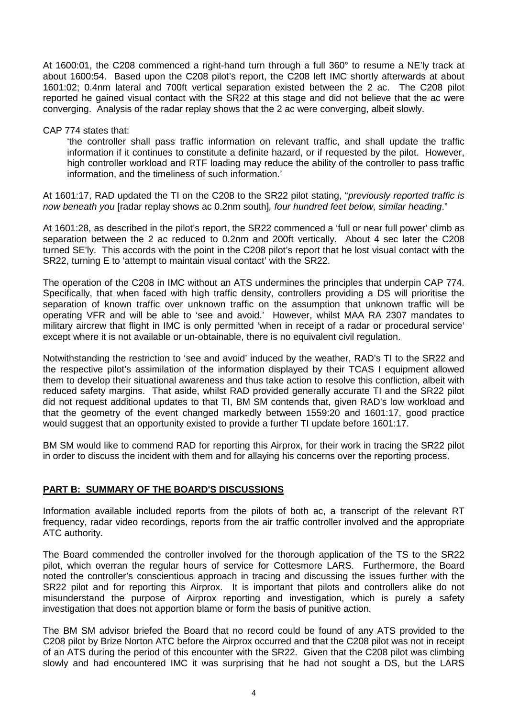At 1600:01, the C208 commenced a right-hand turn through a full 360° to resume a NE'ly track at about 1600:54. Based upon the C208 pilot's report, the C208 left IMC shortly afterwards at about 1601:02; 0.4nm lateral and 700ft vertical separation existed between the 2 ac. The C208 pilot reported he gained visual contact with the SR22 at this stage and did not believe that the ac were converging. Analysis of the radar replay shows that the 2 ac were converging, albeit slowly.

#### CAP 774 states that:

'the controller shall pass traffic information on relevant traffic, and shall update the traffic information if it continues to constitute a definite hazard, or if requested by the pilot. However, high controller workload and RTF loading may reduce the ability of the controller to pass traffic information, and the timeliness of such information.'

At 1601:17, RAD updated the TI on the C208 to the SR22 pilot stating, "*previously reported traffic is now beneath you* [radar replay shows ac 0.2nm south]*, four hundred feet below, similar heading*."

At 1601:28, as described in the pilot's report, the SR22 commenced a 'full or near full power' climb as separation between the 2 ac reduced to 0.2nm and 200ft vertically. About 4 sec later the C208 turned SE'ly. This accords with the point in the C208 pilot's report that he lost visual contact with the SR22, turning E to 'attempt to maintain visual contact' with the SR22.

The operation of the C208 in IMC without an ATS undermines the principles that underpin CAP 774. Specifically, that when faced with high traffic density, controllers providing a DS will prioritise the separation of known traffic over unknown traffic on the assumption that unknown traffic will be operating VFR and will be able to 'see and avoid.' However, whilst MAA RA 2307 mandates to military aircrew that flight in IMC is only permitted 'when in receipt of a radar or procedural service' except where it is not available or un-obtainable, there is no equivalent civil regulation.

Notwithstanding the restriction to 'see and avoid' induced by the weather, RAD's TI to the SR22 and the respective pilot's assimilation of the information displayed by their TCAS I equipment allowed them to develop their situational awareness and thus take action to resolve this confliction, albeit with reduced safety margins. That aside, whilst RAD provided generally accurate TI and the SR22 pilot did not request additional updates to that TI, BM SM contends that, given RAD's low workload and that the geometry of the event changed markedly between 1559:20 and 1601:17, good practice would suggest that an opportunity existed to provide a further TI update before 1601:17.

BM SM would like to commend RAD for reporting this Airprox, for their work in tracing the SR22 pilot in order to discuss the incident with them and for allaying his concerns over the reporting process.

## **PART B: SUMMARY OF THE BOARD'S DISCUSSIONS**

Information available included reports from the pilots of both ac, a transcript of the relevant RT frequency, radar video recordings, reports from the air traffic controller involved and the appropriate ATC authority.

The Board commended the controller involved for the thorough application of the TS to the SR22 pilot, which overran the regular hours of service for Cottesmore LARS. Furthermore, the Board noted the controller's conscientious approach in tracing and discussing the issues further with the SR22 pilot and for reporting this Airprox. It is important that pilots and controllers alike do not misunderstand the purpose of Airprox reporting and investigation, which is purely a safety investigation that does not apportion blame or form the basis of punitive action.

The BM SM advisor briefed the Board that no record could be found of any ATS provided to the C208 pilot by Brize Norton ATC before the Airprox occurred and that the C208 pilot was not in receipt of an ATS during the period of this encounter with the SR22. Given that the C208 pilot was climbing slowly and had encountered IMC it was surprising that he had not sought a DS, but the LARS